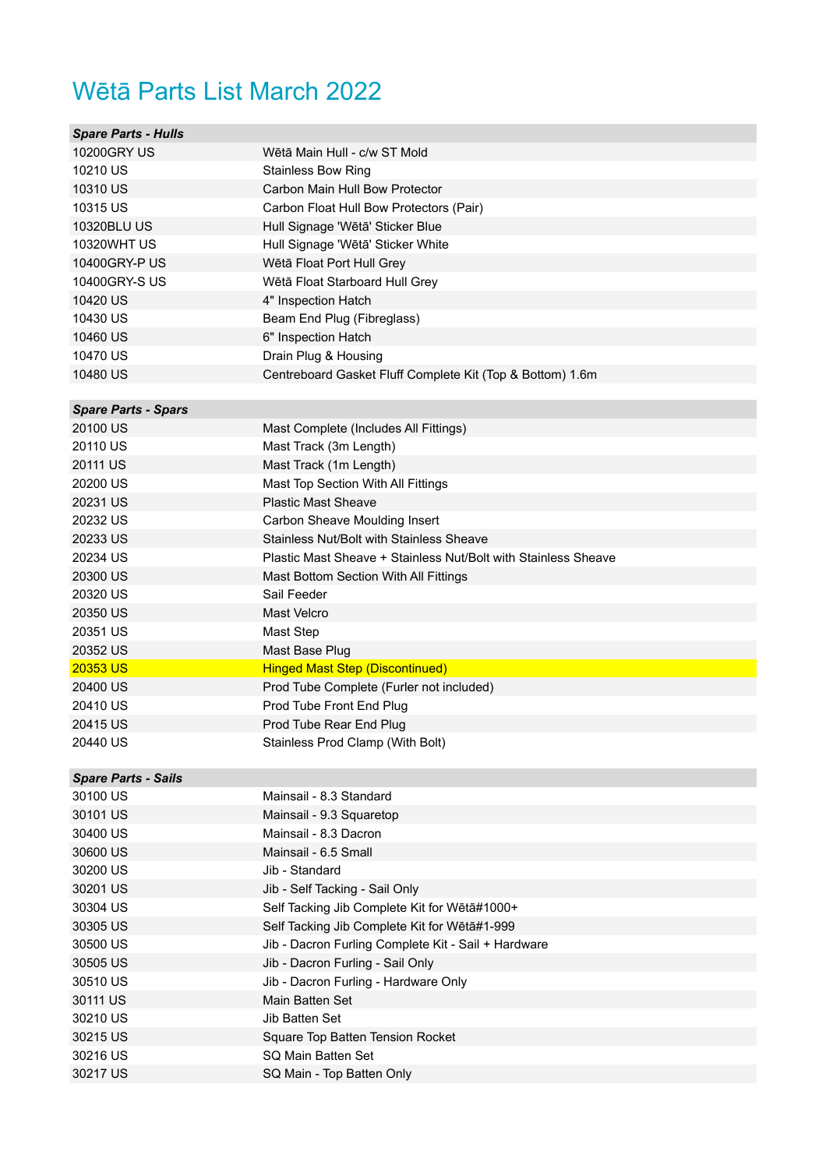## Wētā Parts List March 2022

| <b>Spare Parts - Hulls</b> |                                                                |
|----------------------------|----------------------------------------------------------------|
| <b>10200GRY US</b>         | Wētā Main Hull - c/w ST Mold                                   |
| 10210 US                   | <b>Stainless Bow Ring</b>                                      |
| 10310 US                   | Carbon Main Hull Bow Protector                                 |
| 10315 US                   | Carbon Float Hull Bow Protectors (Pair)                        |
| 10320BLU US                | Hull Signage 'Wētā' Sticker Blue                               |
| <b>10320WHT US</b>         | Hull Signage 'Wētā' Sticker White                              |
| 10400GRY-PUS               | Wētā Float Port Hull Grey                                      |
| 10400GRY-S US              | Wētā Float Starboard Hull Grey                                 |
| 10420 US                   | 4" Inspection Hatch                                            |
| 10430 US                   | Beam End Plug (Fibreglass)                                     |
| 10460 US                   | 6" Inspection Hatch                                            |
| 10470 US                   | Drain Plug & Housing                                           |
| 10480 US                   | Centreboard Gasket Fluff Complete Kit (Top & Bottom) 1.6m      |
|                            |                                                                |
| <b>Spare Parts - Spars</b> |                                                                |
| 20100 US                   | Mast Complete (Includes All Fittings)                          |
| 20110 US                   | Mast Track (3m Length)                                         |
| 20111 US                   | Mast Track (1m Length)                                         |
| 20200 US                   | Mast Top Section With All Fittings                             |
| 20231 US                   | <b>Plastic Mast Sheave</b>                                     |
| 20232 US                   | Carbon Sheave Moulding Insert                                  |
| 20233 US                   | Stainless Nut/Bolt with Stainless Sheave                       |
| 20234 US                   | Plastic Mast Sheave + Stainless Nut/Bolt with Stainless Sheave |
| 20300 US                   | Mast Bottom Section With All Fittings                          |
| 20320 US                   | Sail Feeder                                                    |
| 20350 US                   | <b>Mast Velcro</b>                                             |
| 20351 US                   | Mast Step                                                      |
| 20352 US                   | Mast Base Plug                                                 |
| 20353 US                   | <b>Hinged Mast Step (Discontinued)</b>                         |
| 20400 US                   | Prod Tube Complete (Furler not included)                       |
| 20410 US                   | Prod Tube Front End Plug                                       |
| 20415 US                   | Prod Tube Rear End Plug                                        |
| 20440 US                   | Stainless Prod Clamp (With Bolt)                               |
|                            |                                                                |
| <b>Spare Parts - Sails</b> |                                                                |
| 30100 US                   | Mainsail - 8.3 Standard                                        |
| 30101 US                   | Mainsail - 9.3 Squaretop                                       |
| 30400 US                   | Mainsail - 8.3 Dacron                                          |
| 30600 US                   | Mainsail - 6.5 Small                                           |
| 30200 US                   | Jib - Standard                                                 |
| 30201 US                   | Jib - Self Tacking - Sail Only                                 |
| 30304 US                   | Self Tacking Jib Complete Kit for Wētā#1000+                   |
| 30305 US                   |                                                                |
|                            | Self Tacking Jib Complete Kit for Wētā#1-999                   |
| 30500 US                   | Jib - Dacron Furling Complete Kit - Sail + Hardware            |
| 30505 US                   | Jib - Dacron Furling - Sail Only                               |
| 30510 US                   | Jib - Dacron Furling - Hardware Only                           |
| 30111 US                   | Main Batten Set                                                |
| 30210 US                   | Jib Batten Set                                                 |
| 30215 US                   | Square Top Batten Tension Rocket                               |
| 30216 US                   | SQ Main Batten Set                                             |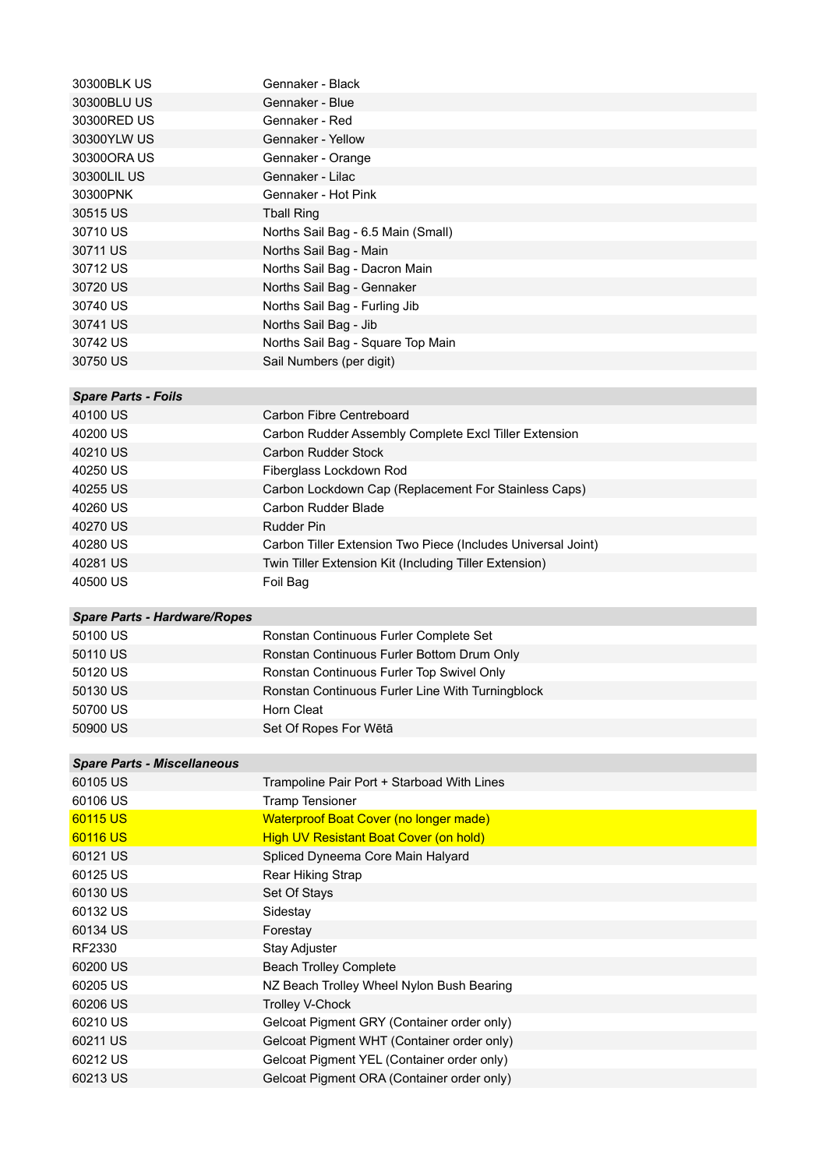| 30300BLK US                                     | Gennaker - Black                                                                         |
|-------------------------------------------------|------------------------------------------------------------------------------------------|
| 30300BLU US                                     | Gennaker - Blue                                                                          |
| 30300RED US                                     | Gennaker - Red                                                                           |
| 30300YLW US                                     | Gennaker - Yellow                                                                        |
| 30300ORA US                                     | Gennaker - Orange                                                                        |
| 30300LIL US                                     | Gennaker - Lilac                                                                         |
| 30300PNK                                        | Gennaker - Hot Pink                                                                      |
| 30515 US                                        | <b>Tball Ring</b>                                                                        |
| 30710 US                                        | Norths Sail Bag - 6.5 Main (Small)                                                       |
| 30711 US                                        | Norths Sail Bag - Main                                                                   |
| 30712 US                                        | Norths Sail Bag - Dacron Main                                                            |
| 30720 US                                        | Norths Sail Bag - Gennaker                                                               |
| 30740 US                                        | Norths Sail Bag - Furling Jib                                                            |
| 30741 US                                        | Norths Sail Bag - Jib                                                                    |
| 30742 US                                        | Norths Sail Bag - Square Top Main                                                        |
| 30750 US                                        | Sail Numbers (per digit)                                                                 |
| <b>Spare Parts - Foils</b>                      |                                                                                          |
| 40100 US                                        | Carbon Fibre Centreboard                                                                 |
| 40200 US                                        | Carbon Rudder Assembly Complete Excl Tiller Extension                                    |
| 40210 US                                        | Carbon Rudder Stock                                                                      |
| 40250 US                                        | Fiberglass Lockdown Rod                                                                  |
| 40255 US                                        | Carbon Lockdown Cap (Replacement For Stainless Caps)                                     |
| 40260 US                                        | Carbon Rudder Blade                                                                      |
| 40270 US                                        | <b>Rudder Pin</b>                                                                        |
| 40280 US                                        | Carbon Tiller Extension Two Piece (Includes Universal Joint)                             |
| 40281 US                                        | Twin Tiller Extension Kit (Including Tiller Extension)                                   |
|                                                 |                                                                                          |
| 40500 US                                        | Foil Bag                                                                                 |
|                                                 |                                                                                          |
| <b>Spare Parts - Hardware/Ropes</b><br>50100 US | Ronstan Continuous Furler Complete Set                                                   |
| 50110 US                                        | Ronstan Continuous Furler Bottom Drum Only                                               |
| 50120 US                                        | Ronstan Continuous Furler Top Swivel Only                                                |
| 50130 US                                        | Ronstan Continuous Furler Line With Turningblock                                         |
| 50700 US                                        | Horn Cleat                                                                               |
| 50900 US                                        | Set Of Ropes For Wētā                                                                    |
|                                                 |                                                                                          |
| <b>Spare Parts - Miscellaneous</b>              |                                                                                          |
| 60105 US                                        | Trampoline Pair Port + Starboad With Lines                                               |
| 60106 US                                        | <b>Tramp Tensioner</b>                                                                   |
| 60115 US                                        | <b>Waterproof Boat Cover (no longer made)</b>                                            |
| 60116 US                                        | <b>High UV Resistant Boat Cover (on hold)</b>                                            |
| 60121 US                                        | Spliced Dyneema Core Main Halyard                                                        |
| 60125 US                                        | Rear Hiking Strap                                                                        |
| 60130 US                                        | Set Of Stays                                                                             |
| 60132 US                                        | Sidestay                                                                                 |
| 60134 US                                        | Forestay                                                                                 |
| RF2330                                          | Stay Adjuster                                                                            |
| 60200 US                                        | <b>Beach Trolley Complete</b>                                                            |
| 60205 US                                        | NZ Beach Trolley Wheel Nylon Bush Bearing                                                |
| 60206 US                                        | <b>Trolley V-Chock</b>                                                                   |
| 60210 US<br>60211 US                            | Gelcoat Pigment GRY (Container order only)                                               |
| 60212 US                                        | Gelcoat Pigment WHT (Container order only)<br>Gelcoat Pigment YEL (Container order only) |